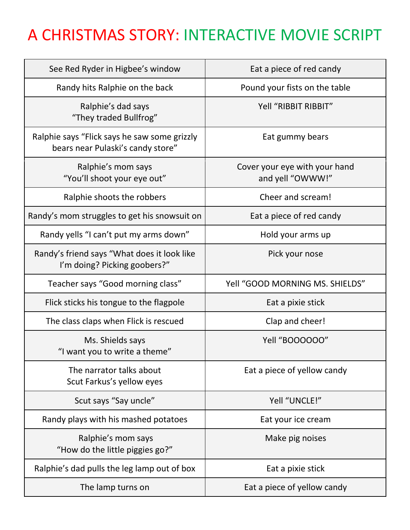## A CHRISTMAS STORY: INTERACTIVE MOVIE SCRIPT

| See Red Ryder in Higbee's window                                                  | Eat a piece of red candy                          |
|-----------------------------------------------------------------------------------|---------------------------------------------------|
| Randy hits Ralphie on the back                                                    | Pound your fists on the table                     |
| Ralphie's dad says<br>"They traded Bullfrog"                                      | Yell "RIBBIT RIBBIT"                              |
| Ralphie says "Flick says he saw some grizzly<br>bears near Pulaski's candy store" | Eat gummy bears                                   |
| Ralphie's mom says<br>"You'll shoot your eye out"                                 | Cover your eye with your hand<br>and yell "OWWW!" |
| Ralphie shoots the robbers                                                        | Cheer and scream!                                 |
| Randy's mom struggles to get his snowsuit on                                      | Eat a piece of red candy                          |
| Randy yells "I can't put my arms down"                                            | Hold your arms up                                 |
| Randy's friend says "What does it look like<br>I'm doing? Picking goobers?"       | Pick your nose                                    |
| Teacher says "Good morning class"                                                 | Yell "GOOD MORNING MS. SHIELDS"                   |
| Flick sticks his tongue to the flagpole                                           | Eat a pixie stick                                 |
| The class claps when Flick is rescued                                             | Clap and cheer!                                   |
| Ms. Shields says<br>"I want you to write a theme"                                 | Yell "BOOOOOO"                                    |
| The narrator talks about<br>Scut Farkus's yellow eyes                             | Eat a piece of yellow candy                       |
| Scut says "Say uncle"                                                             | Yell "UNCLE!"                                     |
| Randy plays with his mashed potatoes                                              | Eat your ice cream                                |
| Ralphie's mom says<br>"How do the little piggies go?"                             | Make pig noises                                   |
| Ralphie's dad pulls the leg lamp out of box                                       | Eat a pixie stick                                 |
| The lamp turns on                                                                 | Eat a piece of yellow candy                       |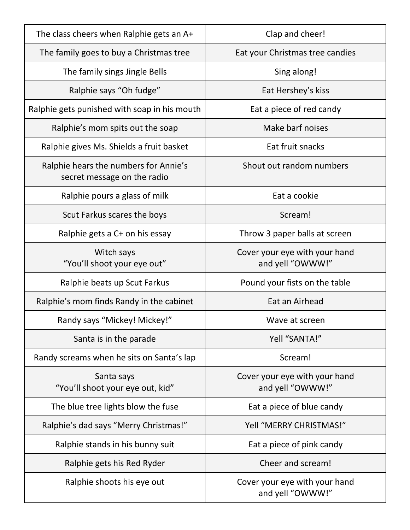| The class cheers when Ralphie gets an A+                             | Clap and cheer!                                   |
|----------------------------------------------------------------------|---------------------------------------------------|
| The family goes to buy a Christmas tree                              | Eat your Christmas tree candies                   |
| The family sings Jingle Bells                                        | Sing along!                                       |
| Ralphie says "Oh fudge"                                              | Eat Hershey's kiss                                |
| Ralphie gets punished with soap in his mouth                         | Eat a piece of red candy                          |
| Ralphie's mom spits out the soap                                     | Make barf noises                                  |
| Ralphie gives Ms. Shields a fruit basket                             | Eat fruit snacks                                  |
| Ralphie hears the numbers for Annie's<br>secret message on the radio | Shout out random numbers                          |
| Ralphie pours a glass of milk                                        | Eat a cookie                                      |
| Scut Farkus scares the boys                                          | Scream!                                           |
| Ralphie gets a C+ on his essay                                       | Throw 3 paper balls at screen                     |
| Witch says<br>"You'll shoot your eye out"                            | Cover your eye with your hand<br>and yell "OWWW!" |
| Ralphie beats up Scut Farkus                                         | Pound your fists on the table                     |
| Ralphie's mom finds Randy in the cabinet                             | Eat an Airhead                                    |
| Randy says "Mickey! Mickey!"                                         | Wave at screen                                    |
| Santa is in the parade                                               | Yell "SANTA!"                                     |
| Randy screams when he sits on Santa's lap                            | Scream!                                           |
| Santa says<br>"You'll shoot your eye out, kid"                       | Cover your eye with your hand<br>and yell "OWWW!" |
| The blue tree lights blow the fuse                                   | Eat a piece of blue candy                         |
| Ralphie's dad says "Merry Christmas!"                                | Yell "MERRY CHRISTMAS!"                           |
| Ralphie stands in his bunny suit                                     | Eat a piece of pink candy                         |
| Ralphie gets his Red Ryder                                           | Cheer and scream!                                 |
| Ralphie shoots his eye out                                           | Cover your eye with your hand<br>and yell "OWWW!" |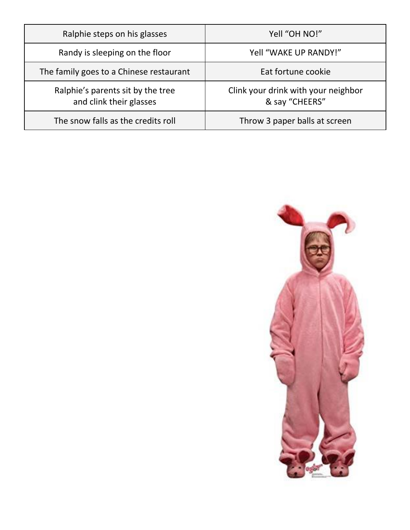| Ralphie steps on his glasses                                 | Yell "OH NO!"                                         |
|--------------------------------------------------------------|-------------------------------------------------------|
| Randy is sleeping on the floor                               | Yell "WAKE UP RANDY!"                                 |
| The family goes to a Chinese restaurant                      | Eat fortune cookie                                    |
| Ralphie's parents sit by the tree<br>and clink their glasses | Clink your drink with your neighbor<br>& say "CHEERS" |
| The snow falls as the credits roll                           | Throw 3 paper balls at screen                         |